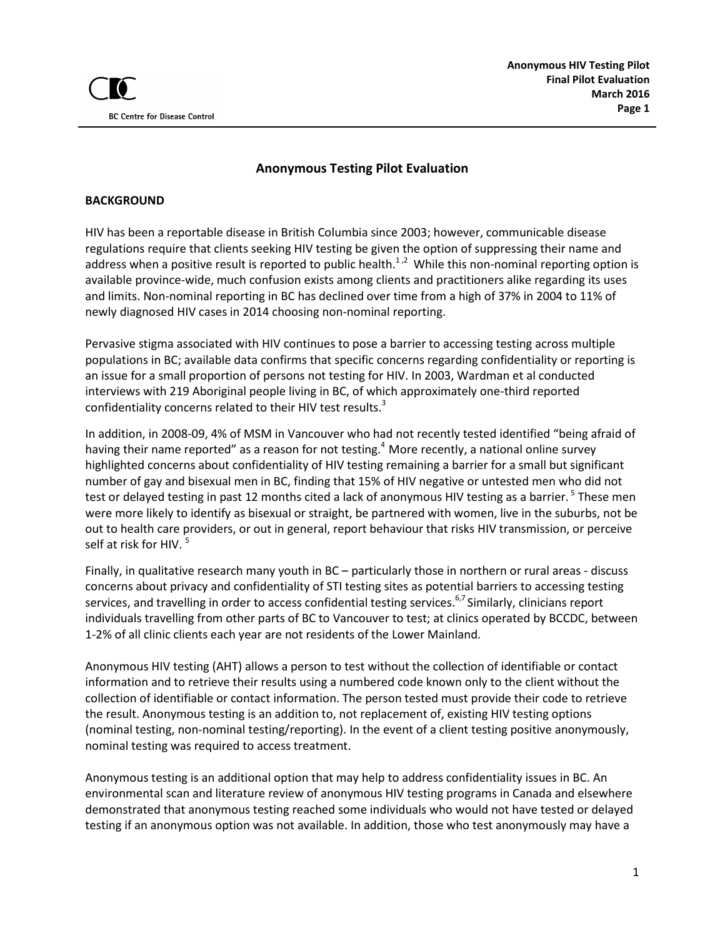

### **Anonymous Testing Pilot Evaluation**

#### **BACKGROUND**

HIV has been a reportable disease in British Columbia since 2003; however, communicable disease regulations require that clients seeking HIV testing be given the option of suppressing their name and address when a positive result is reported to public health.<sup>1,2</sup> While this non-nominal reporting option is available province-wide, much confusion exists among clients and practitioners alike regarding its uses and limits. Non-nominal reporting in BC has declined over time from a high of 37% in 2004 to 11% of newly diagnosed HIV cases in 2014 choosing non-nominal reporting.

Pervasive stigma associated with HIV continues to pose a barrier to accessing testing across multiple populations in BC; available data confirms that specific concerns regarding confidentiality or reporting is an issue for a small proportion of persons not testing for HIV. In 2003, Wardman et al conducted interviews with 219 Aboriginal people living in BC, of which approximately one-third reported confidentiality concerns related to their HIV test results.<sup>3</sup>

In addition, in 2008-09, 4% of MSM in Vancouver who had not recently tested identified "being afraid of having their name reported" as a reason for not testing.<sup>4</sup> More recently, a national online survey highlighted concerns about confidentiality of HIV testing remaining a barrier for a small but significant number of gay and bisexual men in BC, finding that 15% of HIV negative or untested men who did not test or delayed testing in past 12 months cited a lack of anonymous HIV testing as a barrier. <sup>5</sup> These men were more likely to identify as bisexual or straight, be partnered with women, live in the suburbs, not be out to health care providers, or out in general, report behaviour that risks HIV transmission, or perceive self at risk for HIV.<sup>5</sup>

Finally, in qualitative research many youth in BC – particularly those in northern or rural areas - discuss concerns about privacy and confidentiality of STI testing sites as potential barriers to accessing testing services, and travelling in order to access confidential testing services.<sup>6,7</sup> Similarly, clinicians report individuals travelling from other parts of BC to Vancouver to test; at clinics operated by BCCDC, between 1-2% of all clinic clients each year are not residents of the Lower Mainland.

Anonymous HIV testing (AHT) allows a person to test without the collection of identifiable or contact information and to retrieve their results using a numbered code known only to the client without the collection of identifiable or contact information. The person tested must provide their code to retrieve the result. Anonymous testing is an addition to, not replacement of, existing HIV testing options (nominal testing, non-nominal testing/reporting). In the event of a client testing positive anonymously, nominal testing was required to access treatment.

Anonymous testing is an additional option that may help to address confidentiality issues in BC. An environmental scan and literature review of anonymous HIV testing programs in Canada and elsewhere demonstrated that anonymous testing reached some individuals who would not have tested or delayed testing if an anonymous option was not available. In addition, those who test anonymously may have a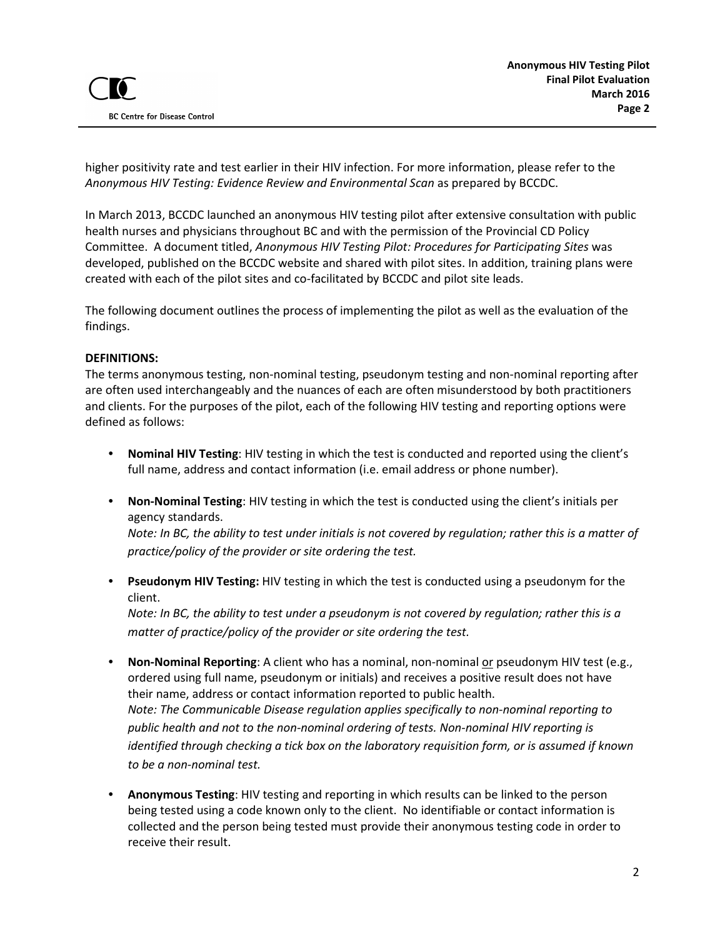higher positivity rate and test earlier in their HIV infection. For more information, please refer to the *Anonymous HIV Testing: Evidence Review and Environmental Scan* as prepared by BCCDC.

In March 2013, BCCDC launched an anonymous HIV testing pilot after extensive consultation with public health nurses and physicians throughout BC and with the permission of the Provincial CD Policy Committee. A document titled, *Anonymous HIV Testing Pilot: Procedures for Participating Sites* was developed, published on the BCCDC website and shared with pilot sites. In addition, training plans were created with each of the pilot sites and co-facilitated by BCCDC and pilot site leads.

The following document outlines the process of implementing the pilot as well as the evaluation of the findings.

#### **DEFINITIONS:**

The terms anonymous testing, non-nominal testing, pseudonym testing and non-nominal reporting after are often used interchangeably and the nuances of each are often misunderstood by both practitioners and clients. For the purposes of the pilot, each of the following HIV testing and reporting options were defined as follows:

- **Nominal HIV Testing**: HIV testing in which the test is conducted and reported using the client's full name, address and contact information (i.e. email address or phone number).
- **Non-Nominal Testing**: HIV testing in which the test is conducted using the client's initials per agency standards.

*Note: In BC, the ability to test under initials is not covered by regulation; rather this is a matter of practice/policy of the provider or site ordering the test.* 

• **Pseudonym HIV Testing:** HIV testing in which the test is conducted using a pseudonym for the client.

*Note: In BC, the ability to test under a pseudonym is not covered by regulation; rather this is a matter of practice/policy of the provider or site ordering the test.*

- **Non-Nominal Reporting**: A client who has a nominal, non-nominal or pseudonym HIV test (e.g., ordered using full name, pseudonym or initials) and receives a positive result does not have their name, address or contact information reported to public health. *Note: The Communicable Disease regulation applies specifically to non-nominal reporting to public health and not to the non-nominal ordering of tests. Non-nominal HIV reporting is identified through checking a tick box on the laboratory requisition form, or is assumed if known to be a non-nominal test.*
- **Anonymous Testing**: HIV testing and reporting in which results can be linked to the person being tested using a code known only to the client. No identifiable or contact information is collected and the person being tested must provide their anonymous testing code in order to receive their result.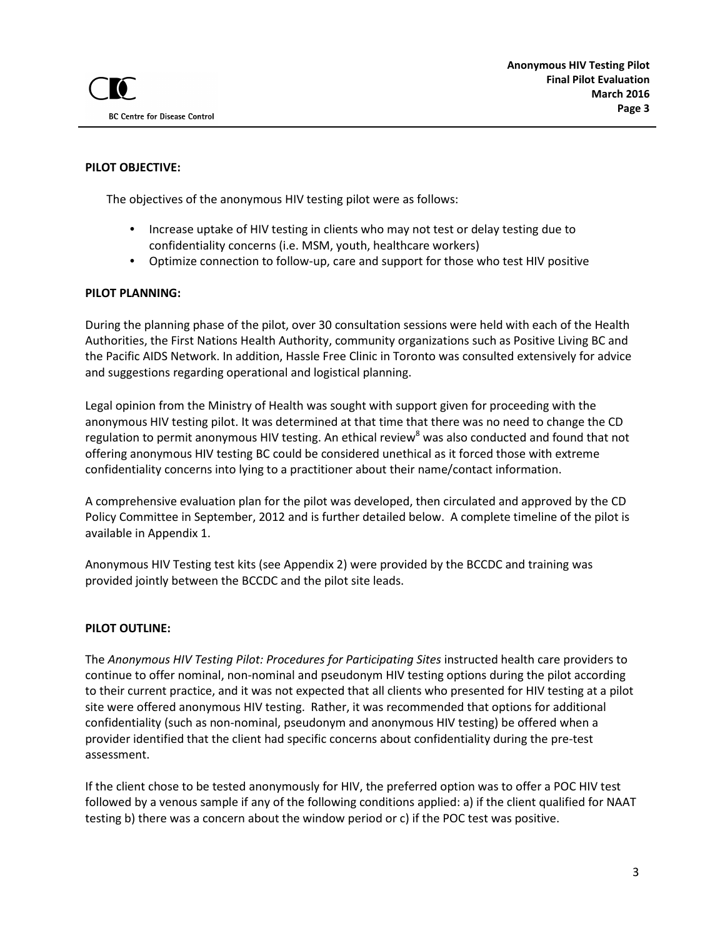### **PILOT OBJECTIVE:**

The objectives of the anonymous HIV testing pilot were as follows:

- Increase uptake of HIV testing in clients who may not test or delay testing due to confidentiality concerns (i.e. MSM, youth, healthcare workers)
- Optimize connection to follow-up, care and support for those who test HIV positive

#### **PILOT PLANNING:**

During the planning phase of the pilot, over 30 consultation sessions were held with each of the Health Authorities, the First Nations Health Authority, community organizations such as Positive Living BC and the Pacific AIDS Network. In addition, Hassle Free Clinic in Toronto was consulted extensively for advice and suggestions regarding operational and logistical planning.

Legal opinion from the Ministry of Health was sought with support given for proceeding with the anonymous HIV testing pilot. It was determined at that time that there was no need to change the CD regulation to permit anonymous HIV testing. An ethical review<sup>8</sup> was also conducted and found that not offering anonymous HIV testing BC could be considered unethical as it forced those with extreme confidentiality concerns into lying to a practitioner about their name/contact information.

A comprehensive evaluation plan for the pilot was developed, then circulated and approved by the CD Policy Committee in September, 2012 and is further detailed below. A complete timeline of the pilot is available in Appendix 1.

Anonymous HIV Testing test kits (see Appendix 2) were provided by the BCCDC and training was provided jointly between the BCCDC and the pilot site leads.

#### **PILOT OUTLINE:**

The *Anonymous HIV Testing Pilot: Procedures for Participating Sites* instructed health care providers to continue to offer nominal, non-nominal and pseudonym HIV testing options during the pilot according to their current practice, and it was not expected that all clients who presented for HIV testing at a pilot site were offered anonymous HIV testing. Rather, it was recommended that options for additional confidentiality (such as non-nominal, pseudonym and anonymous HIV testing) be offered when a provider identified that the client had specific concerns about confidentiality during the pre-test assessment.

If the client chose to be tested anonymously for HIV, the preferred option was to offer a POC HIV test followed by a venous sample if any of the following conditions applied: a) if the client qualified for NAAT testing b) there was a concern about the window period or c) if the POC test was positive.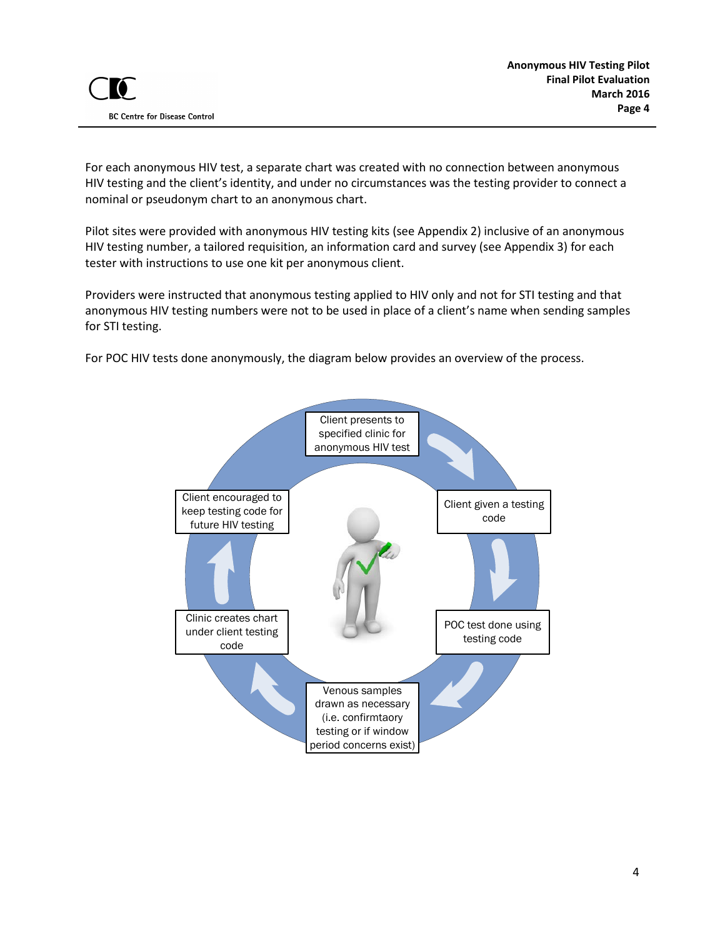For each anonymous HIV test, a separate chart was created with no connection between anonymous HIV testing and the client's identity, and under no circumstances was the testing provider to connect a nominal or pseudonym chart to an anonymous chart.

Pilot sites were provided with anonymous HIV testing kits (see Appendix 2) inclusive of an anonymous HIV testing number, a tailored requisition, an information card and survey (see Appendix 3) for each tester with instructions to use one kit per anonymous client.

Providers were instructed that anonymous testing applied to HIV only and not for STI testing and that anonymous HIV testing numbers were not to be used in place of a client's name when sending samples for STI testing.

For POC HIV tests done anonymously, the diagram below provides an overview of the process.

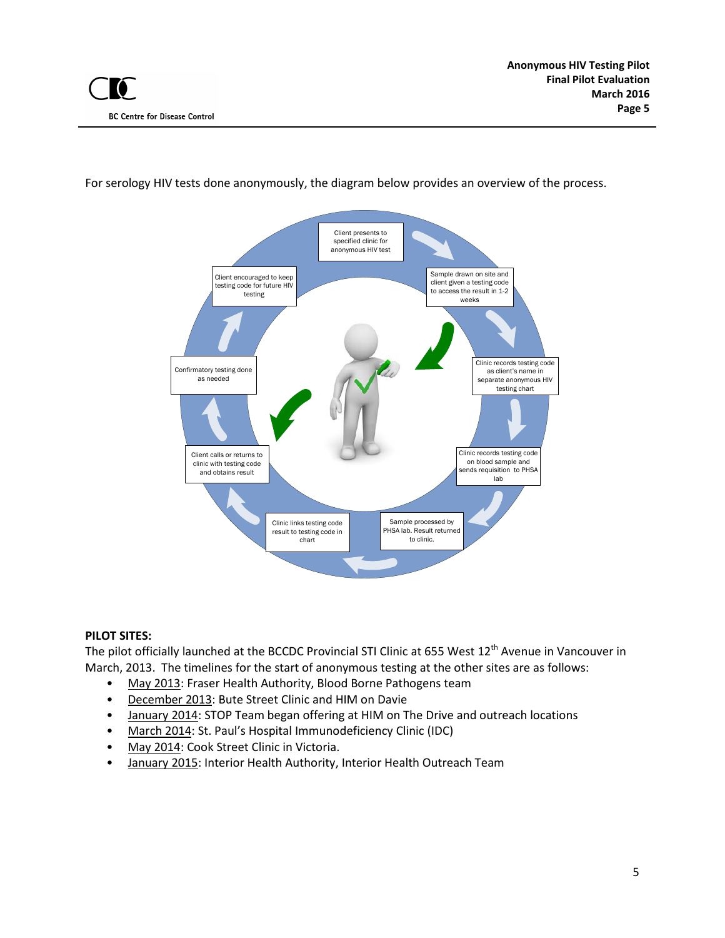

For serology HIV tests done anonymously, the diagram below provides an overview of the process.

#### **PILOT SITES:**

The pilot officially launched at the BCCDC Provincial STI Clinic at 655 West 12<sup>th</sup> Avenue in Vancouver in March, 2013. The timelines for the start of anonymous testing at the other sites are as follows:

- May 2013: Fraser Health Authority, Blood Borne Pathogens team
- December 2013: Bute Street Clinic and HIM on Davie
- January 2014: STOP Team began offering at HIM on The Drive and outreach locations
- March 2014: St. Paul's Hospital Immunodeficiency Clinic (IDC)
- May 2014: Cook Street Clinic in Victoria.
- January 2015: Interior Health Authority, Interior Health Outreach Team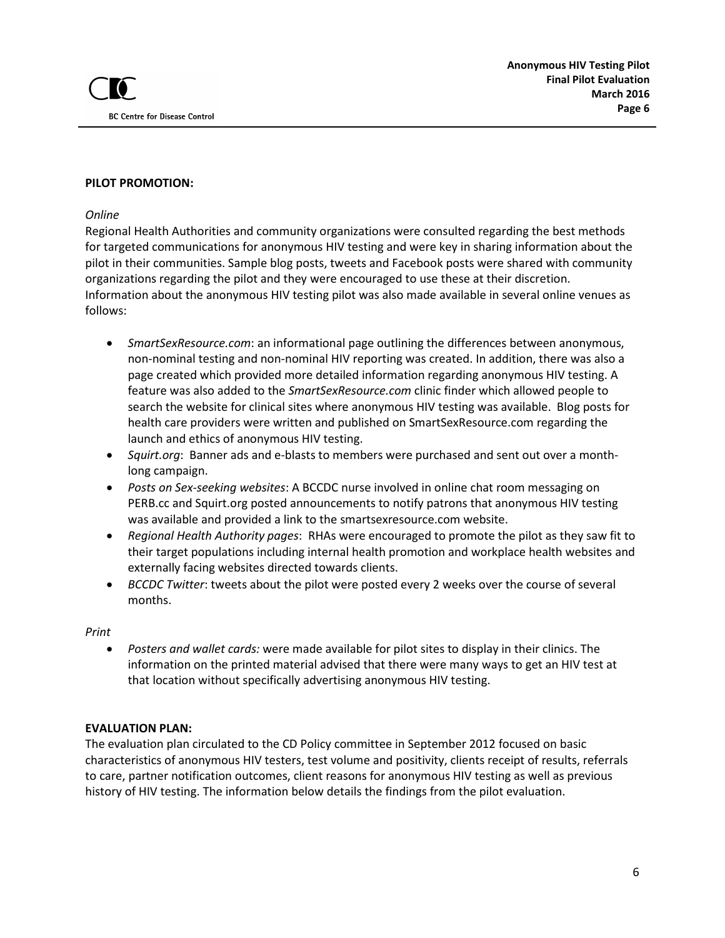#### **PILOT PROMOTION:**

#### *Online*

Regional Health Authorities and community organizations were consulted regarding the best methods for targeted communications for anonymous HIV testing and were key in sharing information about the pilot in their communities. Sample blog posts, tweets and Facebook posts were shared with community organizations regarding the pilot and they were encouraged to use these at their discretion. Information about the anonymous HIV testing pilot was also made available in several online venues as follows:

- *SmartSexResource.com*: an informational page outlining the differences between anonymous, non-nominal testing and non-nominal HIV reporting was created. In addition, there was also a page created which provided more detailed information regarding anonymous HIV testing. A feature was also added to the *SmartSexResource.com* clinic finder which allowed people to search the website for clinical sites where anonymous HIV testing was available. Blog posts for health care providers were written and published on SmartSexResource.com regarding the launch and ethics of anonymous HIV testing.
- *Squirt.org*: Banner ads and e-blasts to members were purchased and sent out over a monthlong campaign.
- *Posts on Sex-seeking websites*: A BCCDC nurse involved in online chat room messaging on PERB.cc and Squirt.org posted announcements to notify patrons that anonymous HIV testing was available and provided a link to the smartsexresource.com website.
- *Regional Health Authority pages*: RHAs were encouraged to promote the pilot as they saw fit to their target populations including internal health promotion and workplace health websites and externally facing websites directed towards clients.
- *BCCDC Twitter*: tweets about the pilot were posted every 2 weeks over the course of several months.

#### *Print*

• *Posters and wallet cards:* were made available for pilot sites to display in their clinics. The information on the printed material advised that there were many ways to get an HIV test at that location without specifically advertising anonymous HIV testing.

#### **EVALUATION PLAN:**

The evaluation plan circulated to the CD Policy committee in September 2012 focused on basic characteristics of anonymous HIV testers, test volume and positivity, clients receipt of results, referrals to care, partner notification outcomes, client reasons for anonymous HIV testing as well as previous history of HIV testing. The information below details the findings from the pilot evaluation.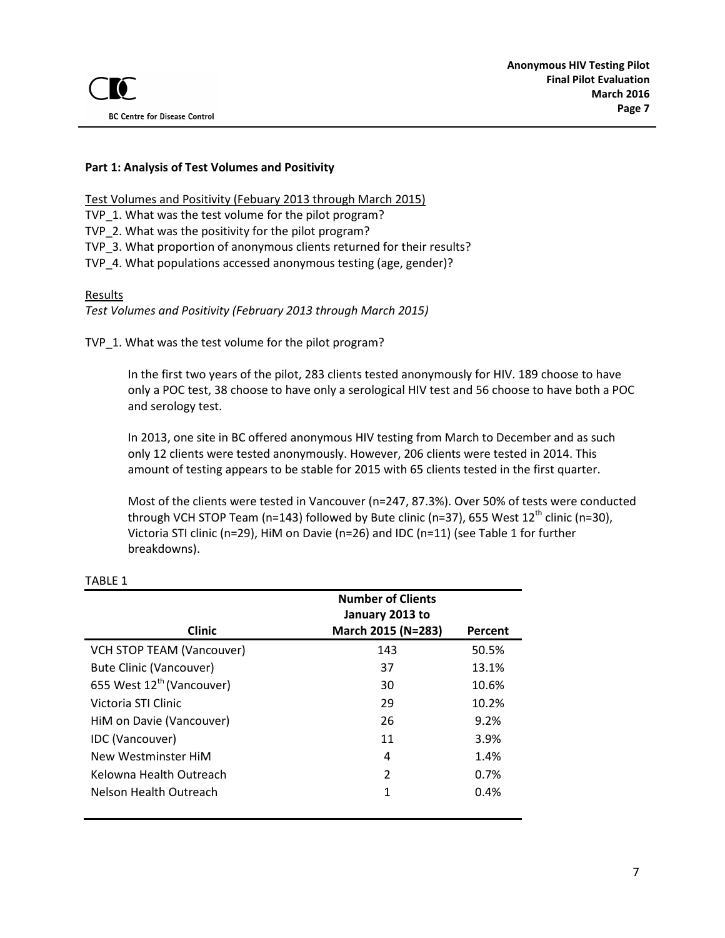### **Part 1: Analysis of Test Volumes and Positivity**

Test Volumes and Positivity (Febuary 2013 through March 2015)

TVP\_1. What was the test volume for the pilot program?

TVP\_2. What was the positivity for the pilot program?

TVP\_3. What proportion of anonymous clients returned for their results?

TVP\_4. What populations accessed anonymous testing (age, gender)?

#### Results

*Test Volumes and Positivity (February 2013 through March 2015)*

TVP\_1. What was the test volume for the pilot program?

In the first two years of the pilot, 283 clients tested anonymously for HIV. 189 choose to have only a POC test, 38 choose to have only a serological HIV test and 56 choose to have both a POC and serology test.

In 2013, one site in BC offered anonymous HIV testing from March to December and as such only 12 clients were tested anonymously. However, 206 clients were tested in 2014. This amount of testing appears to be stable for 2015 with 65 clients tested in the first quarter.

Most of the clients were tested in Vancouver (n=247, 87.3%). Over 50% of tests were conducted through VCH STOP Team (n=143) followed by Bute clinic (n=37), 655 West  $12<sup>th</sup>$  clinic (n=30), Victoria STI clinic (n=29), HiM on Davie (n=26) and IDC (n=11) (see Table 1 for further breakdowns).

|                                       | <b>Number of Clients</b><br>January 2013 to |         |
|---------------------------------------|---------------------------------------------|---------|
| <b>Clinic</b>                         | March 2015 (N=283)                          | Percent |
| <b>VCH STOP TEAM (Vancouver)</b>      | 143                                         | 50.5%   |
| Bute Clinic (Vancouver)               | 37                                          | 13.1%   |
| 655 West 12 <sup>th</sup> (Vancouver) | 30                                          | 10.6%   |
| Victoria STI Clinic                   | 29                                          | 10.2%   |
| HiM on Davie (Vancouver)              | 26                                          | 9.2%    |
| <b>IDC</b> (Vancouver)                | 11                                          | 3.9%    |
| New Westminster HiM                   | 4                                           | 1.4%    |
| Kelowna Health Outreach               | $\mathcal{P}$                               | 0.7%    |
| Nelson Health Outreach                | 1                                           | 0.4%    |

### TABLE 1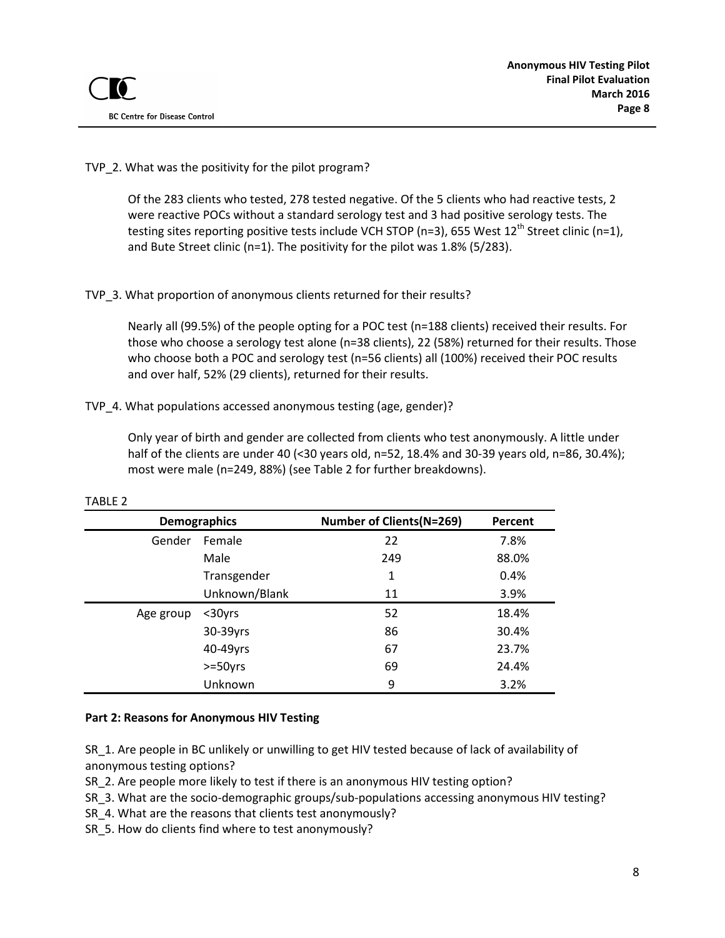### TVP 2. What was the positivity for the pilot program?

Of the 283 clients who tested, 278 tested negative. Of the 5 clients who had reactive tests, 2 were reactive POCs without a standard serology test and 3 had positive serology tests. The testing sites reporting positive tests include VCH STOP (n=3), 655 West  $12^{th}$  Street clinic (n=1), and Bute Street clinic (n=1). The positivity for the pilot was 1.8% (5/283).

# TVP\_3. What proportion of anonymous clients returned for their results?

Nearly all (99.5%) of the people opting for a POC test (n=188 clients) received their results. For those who choose a serology test alone (n=38 clients), 22 (58%) returned for their results. Those who choose both a POC and serology test (n=56 clients) all (100%) received their POC results and over half, 52% (29 clients), returned for their results.

# TVP\_4. What populations accessed anonymous testing (age, gender)?

Only year of birth and gender are collected from clients who test anonymously. A little under half of the clients are under 40 (<30 years old, n=52, 18.4% and 30-39 years old, n=86, 30.4%); most were male (n=249, 88%) (see Table 2 for further breakdowns).

| <b>Demographics</b> |             | <b>Number of Clients(N=269)</b> | Percent |
|---------------------|-------------|---------------------------------|---------|
| Gender              | Female      | 22                              | 7.8%    |
|                     | Male        | 249                             | 88.0%   |
|                     | Transgender | 1                               | 0.4%    |
| Unknown/Blank       |             | 11                              | 3.9%    |
| Age group           | $30yrs$     | 52                              | 18.4%   |
|                     | 30-39yrs    | 86                              | 30.4%   |
|                     | 40-49yrs    | 67                              | 23.7%   |
|                     | $>=50yrs$   | 69                              | 24.4%   |
|                     | Unknown     | 9                               | 3.2%    |

#### TABLE 2

### **Part 2: Reasons for Anonymous HIV Testing**

SR\_1. Are people in BC unlikely or unwilling to get HIV tested because of lack of availability of anonymous testing options?

SR\_2. Are people more likely to test if there is an anonymous HIV testing option?

SR\_3. What are the socio-demographic groups/sub-populations accessing anonymous HIV testing?

SR\_4. What are the reasons that clients test anonymously?

SR 5. How do clients find where to test anonymously?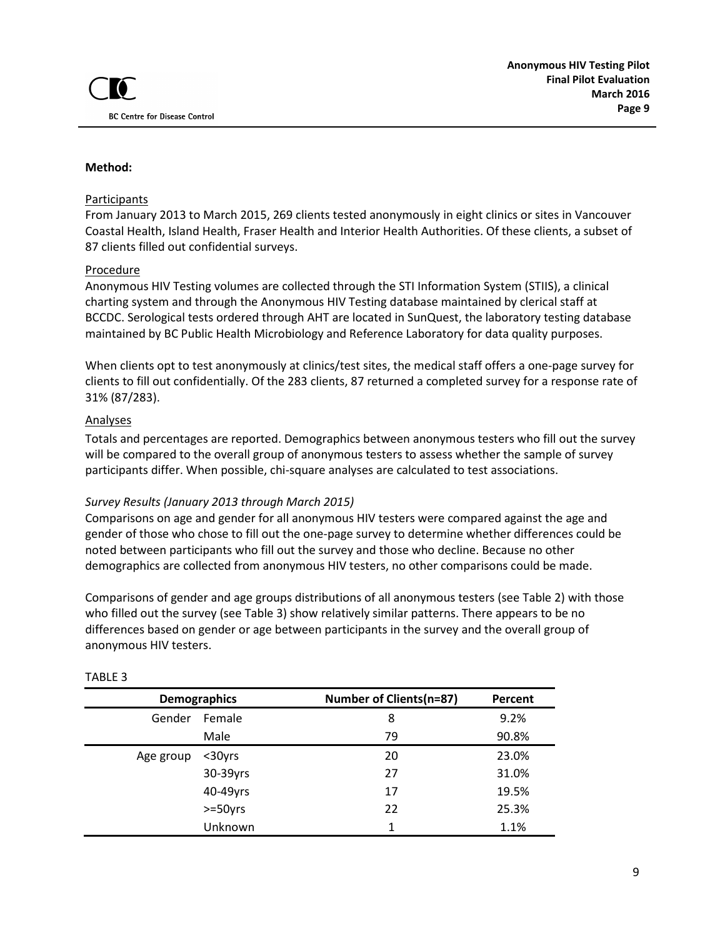#### **Method:**

#### Participants

From January 2013 to March 2015, 269 clients tested anonymously in eight clinics or sites in Vancouver Coastal Health, Island Health, Fraser Health and Interior Health Authorities. Of these clients, a subset of 87 clients filled out confidential surveys.

#### Procedure

Anonymous HIV Testing volumes are collected through the STI Information System (STIIS), a clinical charting system and through the Anonymous HIV Testing database maintained by clerical staff at BCCDC. Serological tests ordered through AHT are located in SunQuest, the laboratory testing database maintained by BC Public Health Microbiology and Reference Laboratory for data quality purposes.

When clients opt to test anonymously at clinics/test sites, the medical staff offers a one-page survey for clients to fill out confidentially. Of the 283 clients, 87 returned a completed survey for a response rate of 31% (87/283).

#### Analyses

Totals and percentages are reported. Demographics between anonymous testers who fill out the survey will be compared to the overall group of anonymous testers to assess whether the sample of survey participants differ. When possible, chi-square analyses are calculated to test associations.

#### *Survey Results (January 2013 through March 2015)*

Comparisons on age and gender for all anonymous HIV testers were compared against the age and gender of those who chose to fill out the one-page survey to determine whether differences could be noted between participants who fill out the survey and those who decline. Because no other demographics are collected from anonymous HIV testers, no other comparisons could be made.

Comparisons of gender and age groups distributions of all anonymous testers (see Table 2) with those who filled out the survey (see Table 3) show relatively similar patterns. There appears to be no differences based on gender or age between participants in the survey and the overall group of anonymous HIV testers.

|           | <b>Demographics</b> | <b>Number of Clients(n=87)</b> | Percent |
|-----------|---------------------|--------------------------------|---------|
| Gender    | Female              | 8                              | 9.2%    |
|           | Male                | 79                             | 90.8%   |
| Age group | $30yrs$             | 20                             | 23.0%   |
|           | 30-39yrs            | 27                             | 31.0%   |
|           | 40-49yrs            | 17                             | 19.5%   |
|           | $>=50yrs$           | 22                             | 25.3%   |
|           | Unknown             | 1                              | 1.1%    |

#### TABLE 3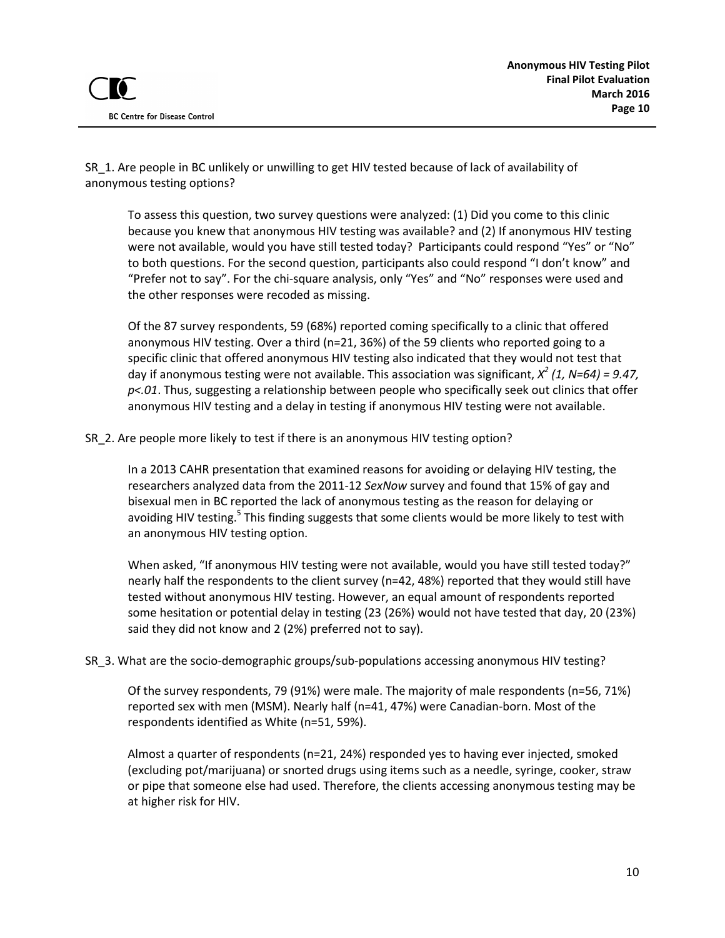SR 1. Are people in BC unlikely or unwilling to get HIV tested because of lack of availability of anonymous testing options?

To assess this question, two survey questions were analyzed: (1) Did you come to this clinic because you knew that anonymous HIV testing was available? and (2) If anonymous HIV testing were not available, would you have still tested today? Participants could respond "Yes" or "No" to both questions. For the second question, participants also could respond "I don't know" and "Prefer not to say". For the chi-square analysis, only "Yes" and "No" responses were used and the other responses were recoded as missing.

Of the 87 survey respondents, 59 (68%) reported coming specifically to a clinic that offered anonymous HIV testing. Over a third (n=21, 36%) of the 59 clients who reported going to a specific clinic that offered anonymous HIV testing also indicated that they would not test that day if anonymous testing were not available. This association was significant, *X<sup>2</sup> (1, N=64) = 9.47, p<.01*. Thus, suggesting a relationship between people who specifically seek out clinics that offer anonymous HIV testing and a delay in testing if anonymous HIV testing were not available.

SR 2. Are people more likely to test if there is an anonymous HIV testing option?

In a 2013 CAHR presentation that examined reasons for avoiding or delaying HIV testing, the researchers analyzed data from the 2011-12 *SexNow* survey and found that 15% of gay and bisexual men in BC reported the lack of anonymous testing as the reason for delaying or avoiding HIV testing.<sup>5</sup> This finding suggests that some clients would be more likely to test with an anonymous HIV testing option.

When asked, "If anonymous HIV testing were not available, would you have still tested today?" nearly half the respondents to the client survey (n=42, 48%) reported that they would still have tested without anonymous HIV testing. However, an equal amount of respondents reported some hesitation or potential delay in testing (23 (26%) would not have tested that day, 20 (23%) said they did not know and 2 (2%) preferred not to say).

#### SR 3. What are the socio-demographic groups/sub-populations accessing anonymous HIV testing?

Of the survey respondents, 79 (91%) were male. The majority of male respondents (n=56, 71%) reported sex with men (MSM). Nearly half (n=41, 47%) were Canadian-born. Most of the respondents identified as White (n=51, 59%).

Almost a quarter of respondents (n=21, 24%) responded yes to having ever injected, smoked (excluding pot/marijuana) or snorted drugs using items such as a needle, syringe, cooker, straw or pipe that someone else had used. Therefore, the clients accessing anonymous testing may be at higher risk for HIV.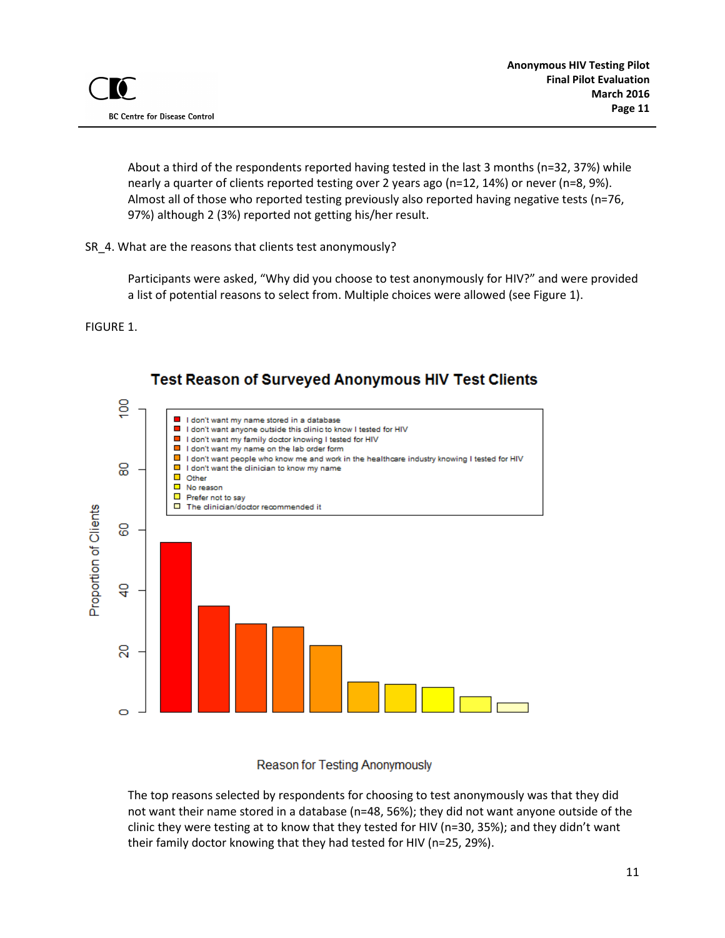About a third of the respondents reported having tested in the last 3 months (n=32, 37%) while nearly a quarter of clients reported testing over 2 years ago (n=12, 14%) or never (n=8, 9%). Almost all of those who reported testing previously also reported having negative tests (n=76, 97%) although 2 (3%) reported not getting his/her result.

### SR\_4. What are the reasons that clients test anonymously?

Participants were asked, "Why did you choose to test anonymously for HIV?" and were provided a list of potential reasons to select from. Multiple choices were allowed (see Figure 1).

FIGURE 1.



# **Test Reason of Surveyed Anonymous HIV Test Clients**

Reason for Testing Anonymously

The top reasons selected by respondents for choosing to test anonymously was that they did not want their name stored in a database (n=48, 56%); they did not want anyone outside of the clinic they were testing at to know that they tested for HIV (n=30, 35%); and they didn't want their family doctor knowing that they had tested for HIV (n=25, 29%).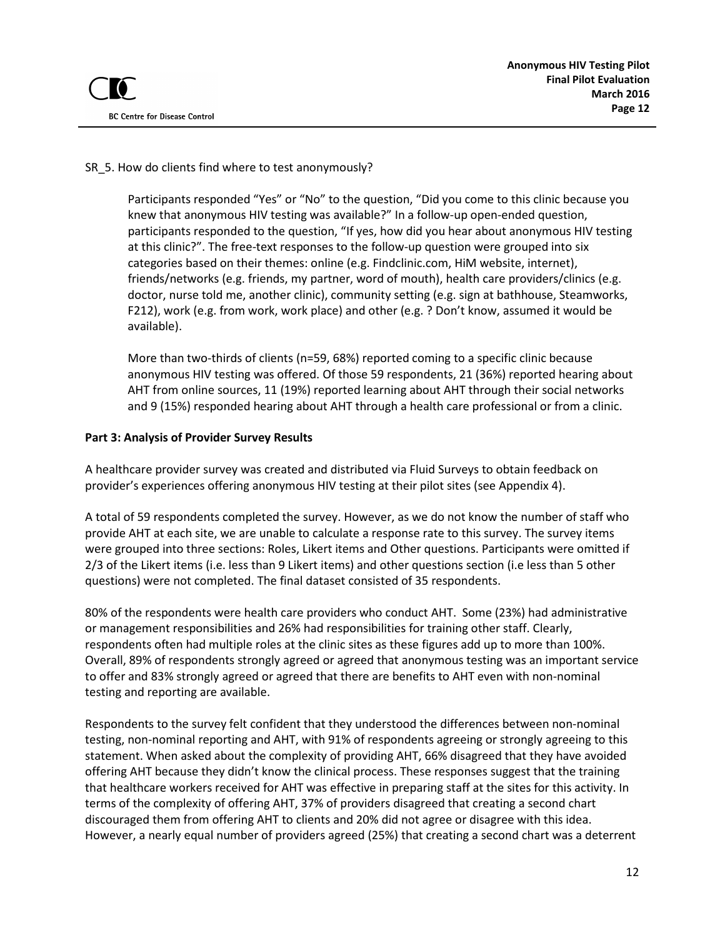### SR 5. How do clients find where to test anonymously?

Participants responded "Yes" or "No" to the question, "Did you come to this clinic because you knew that anonymous HIV testing was available?" In a follow-up open-ended question, participants responded to the question, "If yes, how did you hear about anonymous HIV testing at this clinic?". The free-text responses to the follow-up question were grouped into six categories based on their themes: online (e.g. Findclinic.com, HiM website, internet), friends/networks (e.g. friends, my partner, word of mouth), health care providers/clinics (e.g. doctor, nurse told me, another clinic), community setting (e.g. sign at bathhouse, Steamworks, F212), work (e.g. from work, work place) and other (e.g. ? Don't know, assumed it would be available).

More than two-thirds of clients (n=59, 68%) reported coming to a specific clinic because anonymous HIV testing was offered. Of those 59 respondents, 21 (36%) reported hearing about AHT from online sources, 11 (19%) reported learning about AHT through their social networks and 9 (15%) responded hearing about AHT through a health care professional or from a clinic.

#### **Part 3: Analysis of Provider Survey Results**

A healthcare provider survey was created and distributed via Fluid Surveys to obtain feedback on provider's experiences offering anonymous HIV testing at their pilot sites (see Appendix 4).

A total of 59 respondents completed the survey. However, as we do not know the number of staff who provide AHT at each site, we are unable to calculate a response rate to this survey. The survey items were grouped into three sections: Roles, Likert items and Other questions. Participants were omitted if 2/3 of the Likert items (i.e. less than 9 Likert items) and other questions section (i.e less than 5 other questions) were not completed. The final dataset consisted of 35 respondents.

80% of the respondents were health care providers who conduct AHT. Some (23%) had administrative or management responsibilities and 26% had responsibilities for training other staff. Clearly, respondents often had multiple roles at the clinic sites as these figures add up to more than 100%. Overall, 89% of respondents strongly agreed or agreed that anonymous testing was an important service to offer and 83% strongly agreed or agreed that there are benefits to AHT even with non-nominal testing and reporting are available.

Respondents to the survey felt confident that they understood the differences between non-nominal testing, non-nominal reporting and AHT, with 91% of respondents agreeing or strongly agreeing to this statement. When asked about the complexity of providing AHT, 66% disagreed that they have avoided offering AHT because they didn't know the clinical process. These responses suggest that the training that healthcare workers received for AHT was effective in preparing staff at the sites for this activity. In terms of the complexity of offering AHT, 37% of providers disagreed that creating a second chart discouraged them from offering AHT to clients and 20% did not agree or disagree with this idea. However, a nearly equal number of providers agreed (25%) that creating a second chart was a deterrent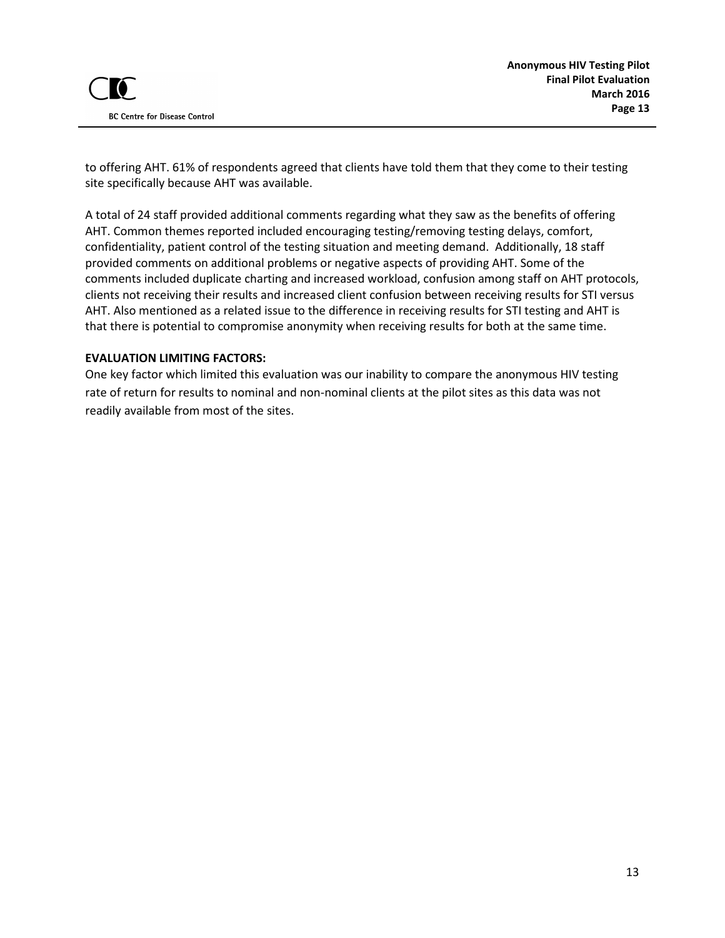to offering AHT. 61% of respondents agreed that clients have told them that they come to their testing site specifically because AHT was available.

A total of 24 staff provided additional comments regarding what they saw as the benefits of offering AHT. Common themes reported included encouraging testing/removing testing delays, comfort, confidentiality, patient control of the testing situation and meeting demand. Additionally, 18 staff provided comments on additional problems or negative aspects of providing AHT. Some of the comments included duplicate charting and increased workload, confusion among staff on AHT protocols, clients not receiving their results and increased client confusion between receiving results for STI versus AHT. Also mentioned as a related issue to the difference in receiving results for STI testing and AHT is that there is potential to compromise anonymity when receiving results for both at the same time.

### **EVALUATION LIMITING FACTORS:**

One key factor which limited this evaluation was our inability to compare the anonymous HIV testing rate of return for results to nominal and non-nominal clients at the pilot sites as this data was not readily available from most of the sites.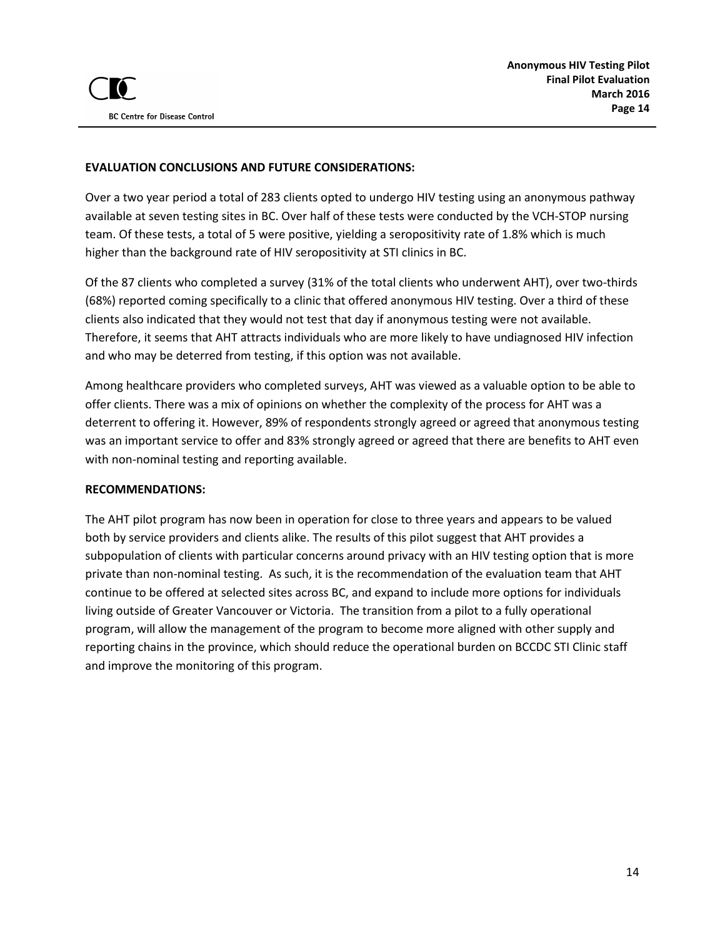### **EVALUATION CONCLUSIONS AND FUTURE CONSIDERATIONS:**

Over a two year period a total of 283 clients opted to undergo HIV testing using an anonymous pathway available at seven testing sites in BC. Over half of these tests were conducted by the VCH-STOP nursing team. Of these tests, a total of 5 were positive, yielding a seropositivity rate of 1.8% which is much higher than the background rate of HIV seropositivity at STI clinics in BC.

Of the 87 clients who completed a survey (31% of the total clients who underwent AHT), over two-thirds (68%) reported coming specifically to a clinic that offered anonymous HIV testing. Over a third of these clients also indicated that they would not test that day if anonymous testing were not available. Therefore, it seems that AHT attracts individuals who are more likely to have undiagnosed HIV infection and who may be deterred from testing, if this option was not available.

Among healthcare providers who completed surveys, AHT was viewed as a valuable option to be able to offer clients. There was a mix of opinions on whether the complexity of the process for AHT was a deterrent to offering it. However, 89% of respondents strongly agreed or agreed that anonymous testing was an important service to offer and 83% strongly agreed or agreed that there are benefits to AHT even with non-nominal testing and reporting available.

#### **RECOMMENDATIONS:**

The AHT pilot program has now been in operation for close to three years and appears to be valued both by service providers and clients alike. The results of this pilot suggest that AHT provides a subpopulation of clients with particular concerns around privacy with an HIV testing option that is more private than non-nominal testing. As such, it is the recommendation of the evaluation team that AHT continue to be offered at selected sites across BC, and expand to include more options for individuals living outside of Greater Vancouver or Victoria. The transition from a pilot to a fully operational program, will allow the management of the program to become more aligned with other supply and reporting chains in the province, which should reduce the operational burden on BCCDC STI Clinic staff and improve the monitoring of this program.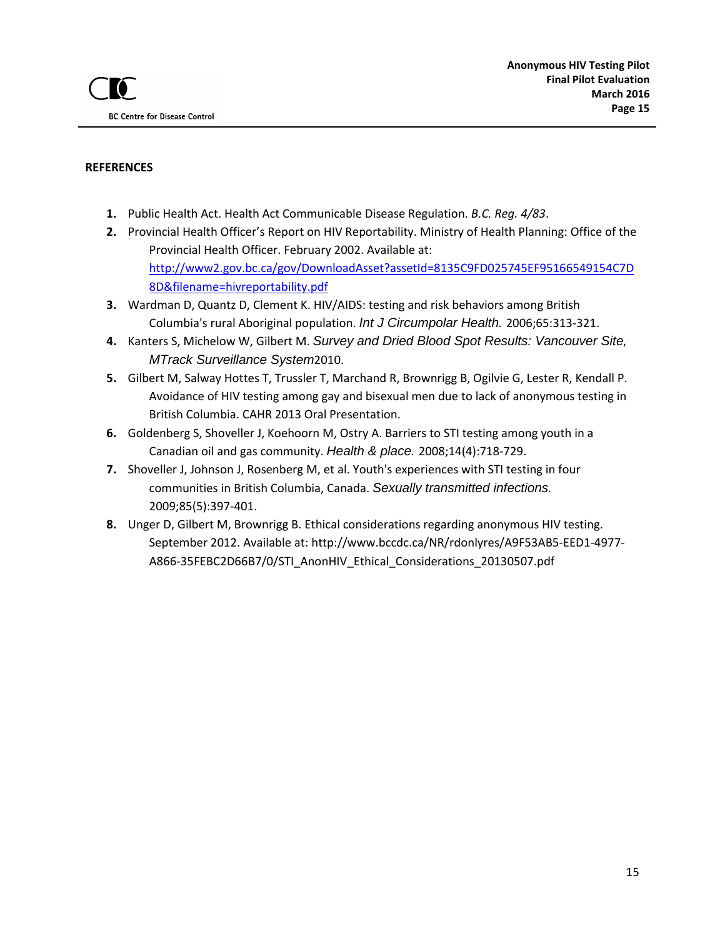#### **REFERENCES**

- **1.** Public Health Act. Health Act Communicable Disease Regulation. *B.C. Reg. 4/83*.
- **2.** Provincial Health Officer's Report on HIV Reportability. Ministry of Health Planning: Office of the Provincial Health Officer. February 2002. Available at: [http://www2.gov.bc.ca/gov/DownloadAsset?assetId=8135C9FD025745EF95166549154C7D](http://www2.gov.bc.ca/gov/DownloadAsset?assetId=8135C9FD025745EF95166549154C7D8D&filename=hivreportability.pdf) [8D&filename=hivreportability.pdf](http://www2.gov.bc.ca/gov/DownloadAsset?assetId=8135C9FD025745EF95166549154C7D8D&filename=hivreportability.pdf)
- **3.** Wardman D, Quantz D, Clement K. HIV/AIDS: testing and risk behaviors among British Columbia's rural Aboriginal population. *Int J Circumpolar Health.* 2006;65:313-321.
- **4.** Kanters S, Michelow W, Gilbert M. *Survey and Dried Blood Spot Results: Vancouver Site, MTrack Surveillance System*2010.
- **5.** Gilbert M, Salway Hottes T, Trussler T, Marchand R, Brownrigg B, Ogilvie G, Lester R, Kendall P. Avoidance of HIV testing among gay and bisexual men due to lack of anonymous testing in British Columbia. CAHR 2013 Oral Presentation.
- **6.** Goldenberg S, Shoveller J, Koehoorn M, Ostry A. Barriers to STI testing among youth in a Canadian oil and gas community. *Health & place.* 2008;14(4):718-729.
- **7.** Shoveller J, Johnson J, Rosenberg M, et al. Youth's experiences with STI testing in four communities in British Columbia, Canada. *Sexually transmitted infections.*  2009;85(5):397-401.
- **8.** Unger D, Gilbert M, Brownrigg B. Ethical considerations regarding anonymous HIV testing. September 2012. Available at: http://www.bccdc.ca/NR/rdonlyres/A9F53AB5-EED1-4977- A866-35FEBC2D66B7/0/STI\_AnonHIV\_Ethical\_Considerations\_20130507.pdf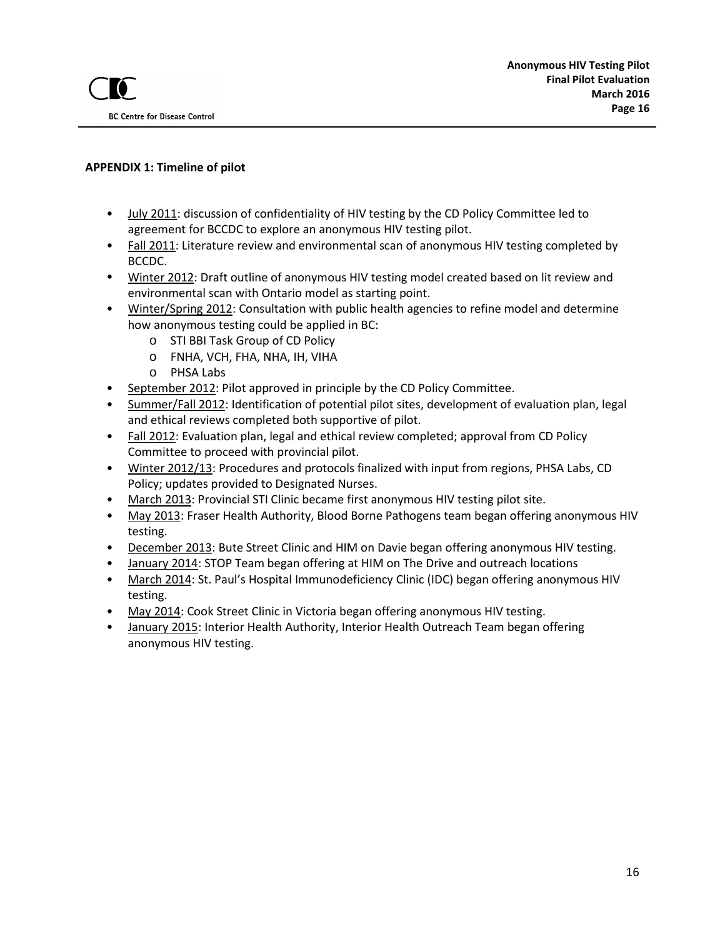### **APPENDIX 1: Timeline of pilot**

- July 2011: discussion of confidentiality of HIV testing by the CD Policy Committee led to agreement for BCCDC to explore an anonymous HIV testing pilot.
- Fall 2011: Literature review and environmental scan of anonymous HIV testing completed by BCCDC.
- Winter 2012: Draft outline of anonymous HIV testing model created based on lit review and environmental scan with Ontario model as starting point.
- Winter/Spring 2012: Consultation with public health agencies to refine model and determine how anonymous testing could be applied in BC:
	- o STI BBI Task Group of CD Policy
	- o FNHA, VCH, FHA, NHA, IH, VIHA
	- o PHSA Labs
- September 2012: Pilot approved in principle by the CD Policy Committee.
- Summer/Fall 2012: Identification of potential pilot sites, development of evaluation plan, legal and ethical reviews completed both supportive of pilot.
- Fall 2012: Evaluation plan, legal and ethical review completed; approval from CD Policy Committee to proceed with provincial pilot.
- Winter 2012/13: Procedures and protocols finalized with input from regions, PHSA Labs, CD Policy; updates provided to Designated Nurses.
- March 2013: Provincial STI Clinic became first anonymous HIV testing pilot site.
- May 2013: Fraser Health Authority, Blood Borne Pathogens team began offering anonymous HIV testing.
- December 2013: Bute Street Clinic and HIM on Davie began offering anonymous HIV testing.
- January 2014: STOP Team began offering at HIM on The Drive and outreach locations
- March 2014: St. Paul's Hospital Immunodeficiency Clinic (IDC) began offering anonymous HIV testing.
- May 2014: Cook Street Clinic in Victoria began offering anonymous HIV testing.
- January 2015: Interior Health Authority, Interior Health Outreach Team began offering anonymous HIV testing.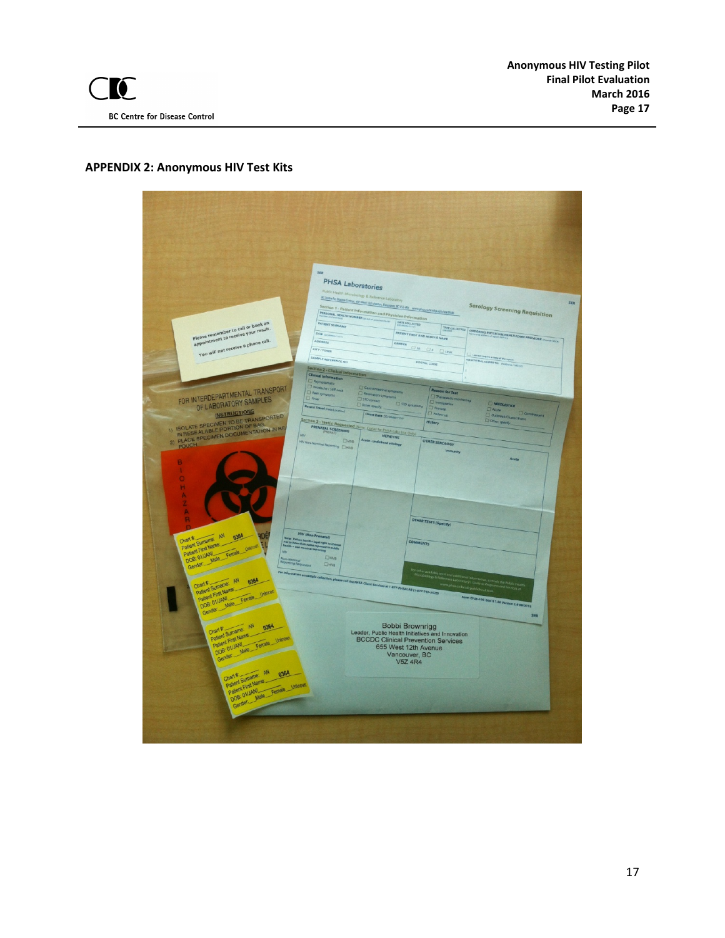# **APPENDIX 2: Anonymous HIV Test Kits**

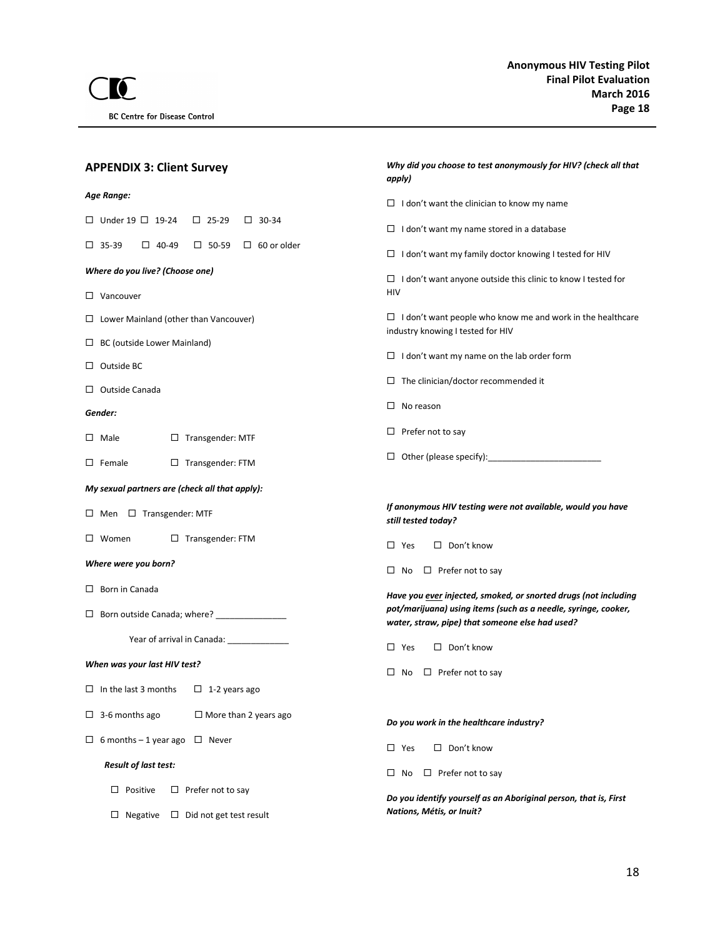| <b>APPENDIX 3: Client Survey</b>                                         | Why did you choose to test anonymously for HIV? (check all that<br>apply)                                         |  |  |  |
|--------------------------------------------------------------------------|-------------------------------------------------------------------------------------------------------------------|--|--|--|
| Age Range:                                                               | $\Box$ I don't want the clinician to know my name                                                                 |  |  |  |
| $\Box$ Under 19 $\Box$ 19-24<br>$\Box$ 25-29<br>$\Box$ 30-34             | $\Box$ I don't want my name stored in a database                                                                  |  |  |  |
| $\square$ 35-39<br>$\square$ 50-59<br>$\Box$ 60 or older<br>$\Box$ 40-49 | $\Box$ I don't want my family doctor knowing I tested for HIV                                                     |  |  |  |
| Where do you live? (Choose one)                                          | $\Box$ I don't want anyone outside this clinic to know I tested for                                               |  |  |  |
| $\Box$ Vancouver                                                         | <b>HIV</b>                                                                                                        |  |  |  |
| $\Box$ Lower Mainland (other than Vancouver)                             | $\Box$ I don't want people who know me and work in the healthcare<br>industry knowing I tested for HIV            |  |  |  |
| $\Box$ BC (outside Lower Mainland)                                       | $\Box$ I don't want my name on the lab order form                                                                 |  |  |  |
| $\Box$ Outside BC                                                        | $\Box$ The clinician/doctor recommended it                                                                        |  |  |  |
| $\Box$ Outside Canada                                                    |                                                                                                                   |  |  |  |
| Gender:                                                                  | $\Box$ No reason                                                                                                  |  |  |  |
| $\square$ Male<br>$\Box$ Transgender: MTF                                | $\Box$ Prefer not to say                                                                                          |  |  |  |
| $\Box$ Transgender: FTM<br>$\square$ Female                              |                                                                                                                   |  |  |  |
| My sexual partners are (check all that apply):                           |                                                                                                                   |  |  |  |
| $\Box$ Men $\Box$ Transgender: MTF                                       | If anonymous HIV testing were not available, would you have<br>still tested today?                                |  |  |  |
| $\Box$ Transgender: FTM<br>$\square$ Women                               | $\Box$ Don't know<br>$\square$ Yes                                                                                |  |  |  |
| Where were you born?                                                     | $\Box$ Prefer not to say<br>$\square$ No                                                                          |  |  |  |
| $\Box$ Born in Canada                                                    | Have you ever injected, smoked, or snorted drugs (not including                                                   |  |  |  |
| □ Born outside Canada; where? ________________                           | pot/marijuana) using items (such as a needle, syringe, cooker,<br>water, straw, pipe) that someone else had used? |  |  |  |
| Year of arrival in Canada: Vear of arrival in Canada:                    | $\Box$ Don't know<br>$\square$ Yes                                                                                |  |  |  |
| When was your last HIV test?                                             | $\Box$ Prefer not to say<br>$\Box$ No                                                                             |  |  |  |
| $\Box$ In the last 3 months $\Box$ 1-2 years ago                         |                                                                                                                   |  |  |  |
| $\Box$ 3-6 months ago<br>$\Box$ More than 2 years ago                    | Do you work in the healthcare industry?                                                                           |  |  |  |
| $\Box$ 6 months – 1 year ago<br>$\square$ Never                          | $\square$ Yes<br>$\Box$ Don't know                                                                                |  |  |  |
| <b>Result of last test:</b>                                              | $\Box$ Prefer not to say<br>$\Box$ No                                                                             |  |  |  |
| $\Box$ Positive<br>$\Box$ Prefer not to say                              | Do you identify yourself as an Aboriginal person, that is, First                                                  |  |  |  |
| $\Box$ Negative $\Box$ Did not get test result                           | Nations, Métis, or Inuit?                                                                                         |  |  |  |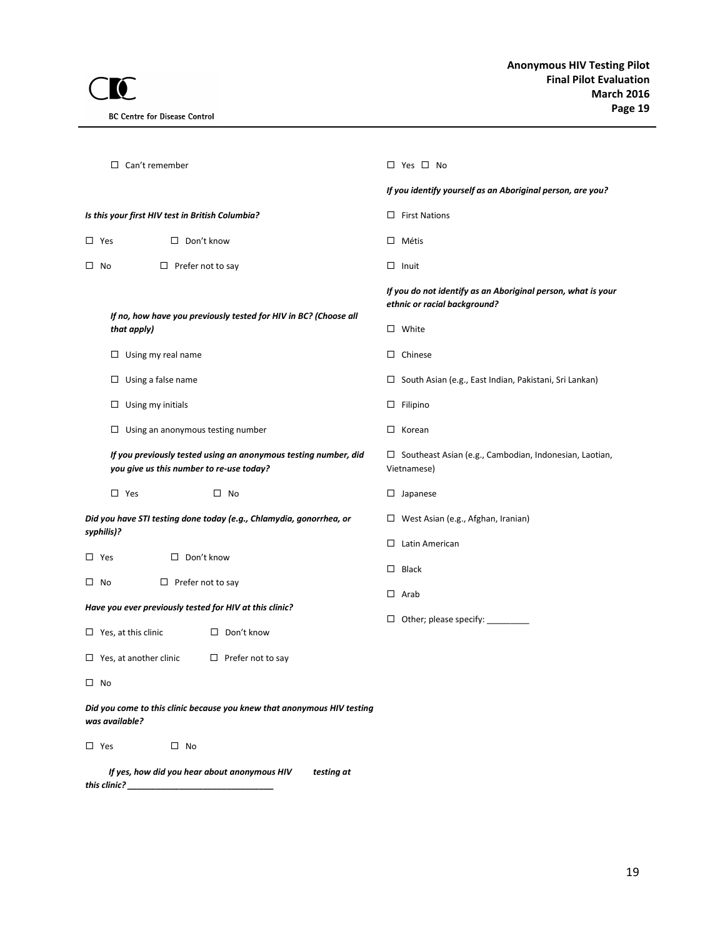| Can't remember<br>□                                                                                         |            | $\Box$ Yes $\Box$ No                                                                         |  |  |  |
|-------------------------------------------------------------------------------------------------------------|------------|----------------------------------------------------------------------------------------------|--|--|--|
|                                                                                                             |            | If you identify yourself as an Aboriginal person, are you?                                   |  |  |  |
| Is this your first HIV test in British Columbia?                                                            |            | $\Box$ First Nations                                                                         |  |  |  |
| $\Box$ Don't know<br>$\square$ Yes                                                                          |            | $\Box$ Métis                                                                                 |  |  |  |
| $\Box$ Prefer not to say<br>$\Box$ No                                                                       |            | $\Box$ Inuit                                                                                 |  |  |  |
| If no, how have you previously tested for HIV in BC? (Choose all                                            |            | If you do not identify as an Aboriginal person, what is your<br>ethnic or racial background? |  |  |  |
| that apply)                                                                                                 |            | $\Box$ White                                                                                 |  |  |  |
| $\Box$ Using my real name                                                                                   |            | $\Box$ Chinese                                                                               |  |  |  |
| $\square$ Using a false name                                                                                |            | $\Box$ South Asian (e.g., East Indian, Pakistani, Sri Lankan)                                |  |  |  |
| $\Box$ Using my initials                                                                                    |            | $\Box$ Filipino                                                                              |  |  |  |
| $\Box$ Using an anonymous testing number                                                                    |            | $\Box$ Korean                                                                                |  |  |  |
| If you previously tested using an anonymous testing number, did<br>you give us this number to re-use today? |            | $\Box$ Southeast Asian (e.g., Cambodian, Indonesian, Laotian,<br>Vietnamese)                 |  |  |  |
| $\square$ Yes<br>$\square$ No                                                                               |            | $\square$ Japanese                                                                           |  |  |  |
| Did you have STI testing done today (e.g., Chlamydia, gonorrhea, or<br>syphilis)?                           |            | $\Box$ West Asian (e.g., Afghan, Iranian)                                                    |  |  |  |
| □ Don't know<br>$\square$ Yes                                                                               |            | $\Box$ Latin American                                                                        |  |  |  |
| $\square$ No<br>$\Box$ Prefer not to say                                                                    |            | $\Box$ Black                                                                                 |  |  |  |
| Have you ever previously tested for HIV at this clinic?                                                     |            | $\Box$ Arab                                                                                  |  |  |  |
| $\Box$ Yes, at this clinic<br>$\Box$ Don't know                                                             |            | $\Box$ Other; please specify: $\Box$                                                         |  |  |  |
| $\Box$ Yes, at another clinic<br>$\Box$ Prefer not to say                                                   |            |                                                                                              |  |  |  |
| $\square$ No                                                                                                |            |                                                                                              |  |  |  |
| Did you come to this clinic because you knew that anonymous HIV testing<br>was available?                   |            |                                                                                              |  |  |  |
| $\square$ Yes<br>$\square$ No                                                                               |            |                                                                                              |  |  |  |
| If yes, how did you hear about anonymous HIV<br>this clinic?                                                | testing at |                                                                                              |  |  |  |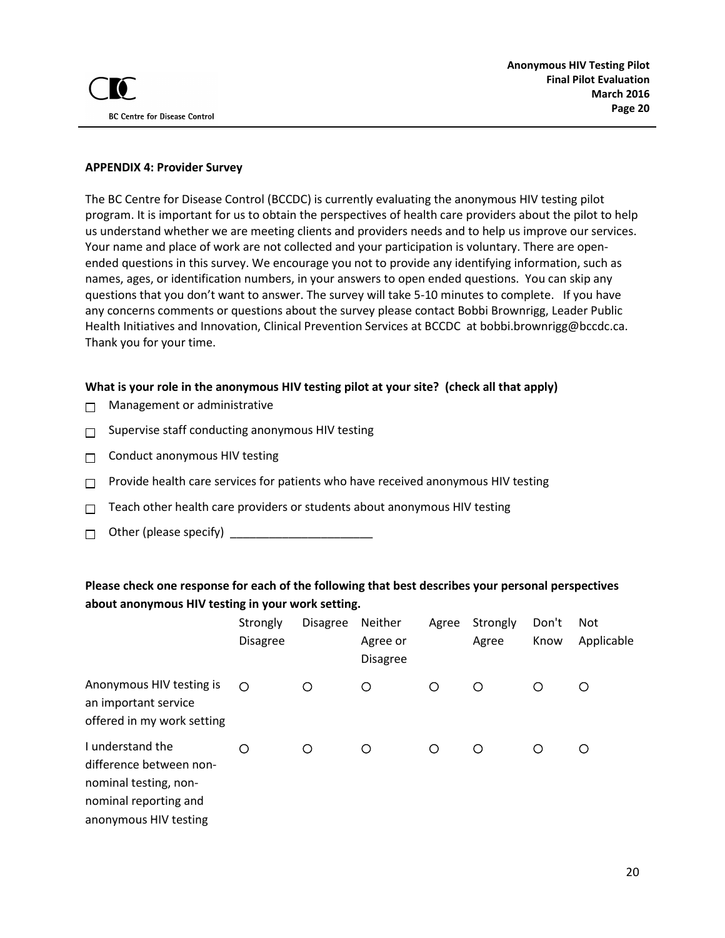#### **APPENDIX 4: Provider Survey**

The BC Centre for Disease Control (BCCDC) is currently evaluating the anonymous HIV testing pilot program. It is important for us to obtain the perspectives of health care providers about the pilot to help us understand whether we are meeting clients and providers needs and to help us improve our services. Your name and place of work are not collected and your participation is voluntary. There are openended questions in this survey. We encourage you not to provide any identifying information, such as names, ages, or identification numbers, in your answers to open ended questions. You can skip any questions that you don't want to answer. The survey will take 5-10 minutes to complete. If you have any concerns comments or questions about the survey please contact Bobbi Brownrigg, Leader Public Health Initiatives and Innovation, Clinical Prevention Services at BCCDC at bobbi.brownrigg@bccdc.ca. Thank you for your time.

#### **What is your role in the anonymous HIV testing pilot at your site? (check all that apply)**

- Management or administrative  $\Box$
- Supervise staff conducting anonymous HIV testing П
- Conduct anonymous HIV testing  $\Box$
- Provide health care services for patients who have received anonymous HIV testing  $\Box$
- Teach other health care providers or students about anonymous HIV testing  $\Box$
- Other (please specify) \_\_\_\_\_\_\_\_\_\_\_\_\_\_\_\_\_\_\_\_\_\_  $\Box$

### **Please check one response for each of the following that best describes your personal perspectives about anonymous HIV testing in your work setting.**

|                                                                                                                        | Strongly<br><b>Disagree</b> | <b>Disagree</b> | Neither<br>Agree or<br><b>Disagree</b> | Agree   | Strongly<br>Agree | Don't<br>Know | <b>Not</b><br>Applicable |
|------------------------------------------------------------------------------------------------------------------------|-----------------------------|-----------------|----------------------------------------|---------|-------------------|---------------|--------------------------|
| Anonymous HIV testing is<br>an important service<br>offered in my work setting                                         | ◯                           | O               | O                                      | $\circ$ | ◯                 | O             | O                        |
| I understand the<br>difference between non-<br>nominal testing, non-<br>nominal reporting and<br>anonymous HIV testing | Ω                           | О               | O                                      | $\circ$ | O                 | ◯             | O                        |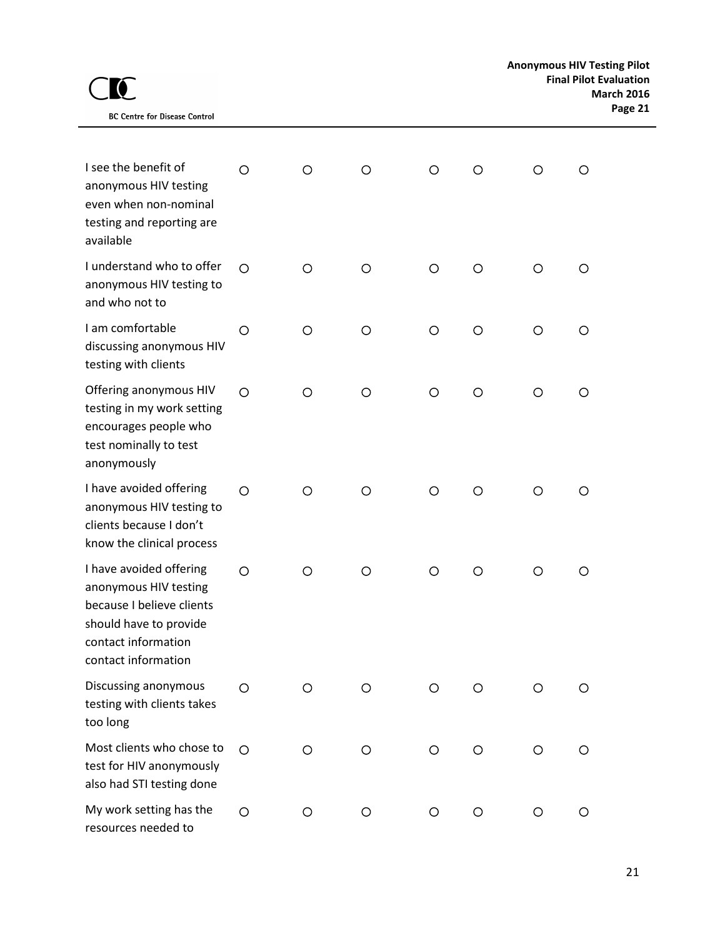| <b>BC Centre for Disease Control</b> |
|--------------------------------------|

| I see the benefit of<br>anonymous HIV testing<br>even when non-nominal<br>testing and reporting are<br>available                                      | Ο       | O       | O       | O       | Ο       | O       | O       |
|-------------------------------------------------------------------------------------------------------------------------------------------------------|---------|---------|---------|---------|---------|---------|---------|
| I understand who to offer<br>anonymous HIV testing to<br>and who not to                                                                               | $\circ$ | $\circ$ | O       | $\circ$ | O       | O       | O       |
| I am comfortable<br>discussing anonymous HIV<br>testing with clients                                                                                  | O       | O       | O       | O       | $\circ$ | O       | O       |
| Offering anonymous HIV<br>testing in my work setting<br>encourages people who<br>test nominally to test<br>anonymously                                | $\circ$ | $\circ$ | $\circ$ | $\circ$ | $\circ$ | $\circ$ | O       |
| I have avoided offering<br>anonymous HIV testing to<br>clients because I don't<br>know the clinical process                                           | $\circ$ | $\circ$ | $\circ$ | $\circ$ | $\circ$ | O       | O       |
| I have avoided offering<br>anonymous HIV testing<br>because I believe clients<br>should have to provide<br>contact information<br>contact information | $\circ$ | O       | O       | $\circ$ | O       | O       | Ο       |
| Discussing anonymous<br>testing with clients takes<br>too long                                                                                        | O       | $\circ$ | $\circ$ | $\circ$ | $\circ$ | $\circ$ | $\circ$ |
| Most clients who chose to<br>test for HIV anonymously<br>also had STI testing done                                                                    | $\circ$ | $\circ$ | O       | $\circ$ | $\circ$ | O       | O       |
| My work setting has the<br>resources needed to                                                                                                        | $\circ$ | $\circ$ | $\circ$ | $\circ$ | $\circ$ | $\circ$ | $\circ$ |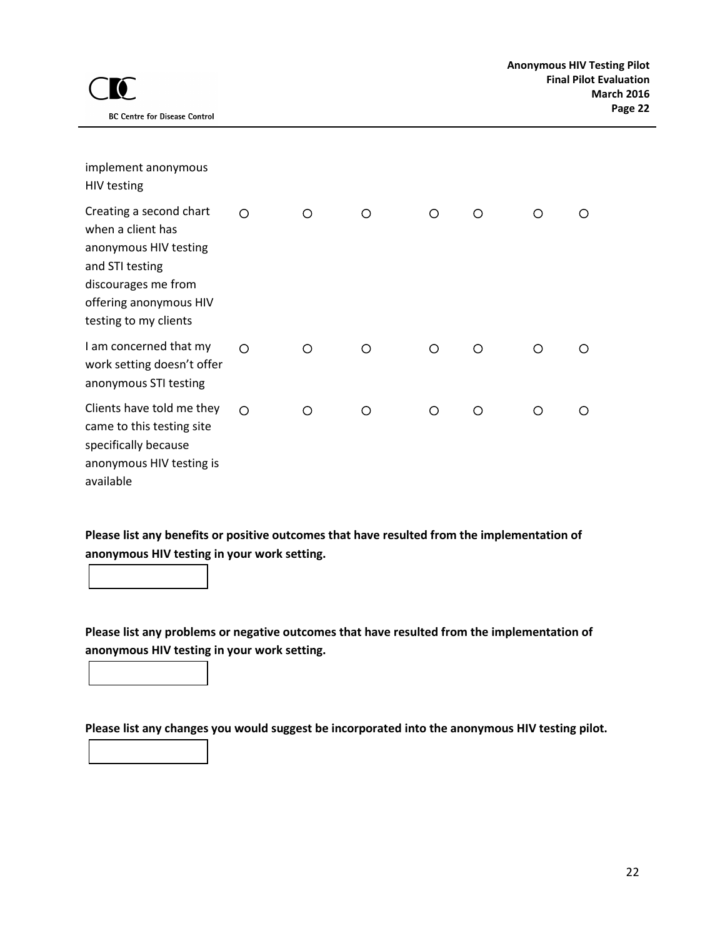| implement anonymous<br>HIV testing                                                                                                                                 |            |   |   |   |   |   |   |
|--------------------------------------------------------------------------------------------------------------------------------------------------------------------|------------|---|---|---|---|---|---|
| Creating a second chart<br>when a client has<br>anonymous HIV testing<br>and STI testing<br>discourages me from<br>offering anonymous HIV<br>testing to my clients | ∩          | ∩ | ∩ | ∩ | ∩ | ∩ |   |
| I am concerned that my<br>work setting doesn't offer<br>anonymous STI testing                                                                                      | ◯          | ∩ | ∩ | ◯ | ∩ | ◯ | ∩ |
| Clients have told me they<br>came to this testing site<br>specifically because<br>anonymous HIV testing is<br>available                                            | $\bigcirc$ | ∩ | ∩ | ∩ | ∩ | ∩ |   |

**Please list any benefits or positive outcomes that have resulted from the implementation of anonymous HIV testing in your work setting.**

**Please list any problems or negative outcomes that have resulted from the implementation of anonymous HIV testing in your work setting.**

**Please list any changes you would suggest be incorporated into the anonymous HIV testing pilot.**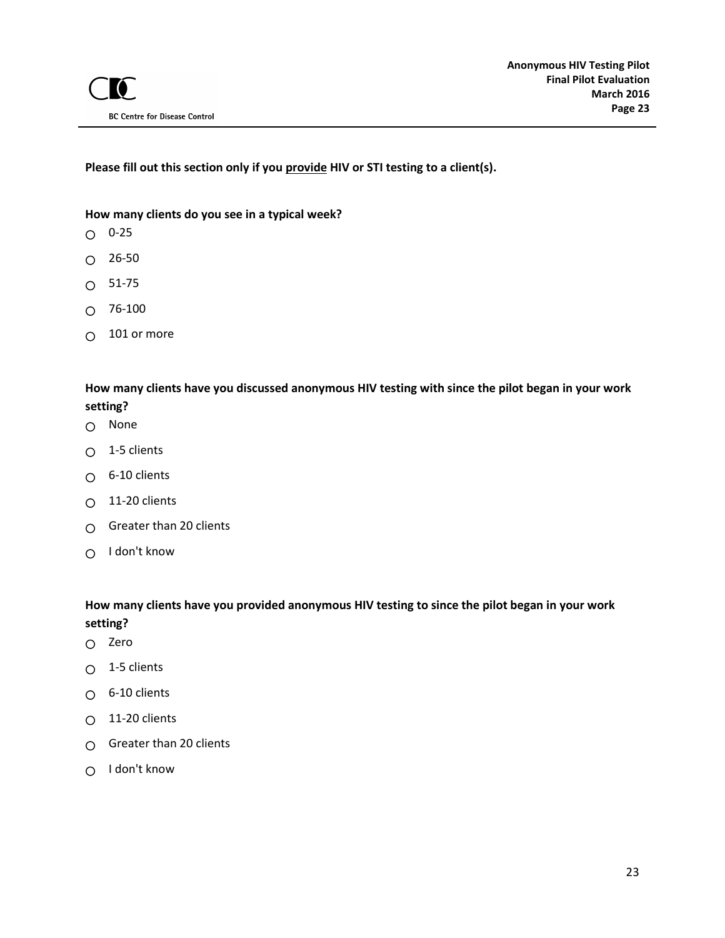**Please fill out this section only if you provide HIV or STI testing to a client(s).**

### **How many clients do you see in a typical week?**

- $O$  0-25
- $O$  26-50
- $\circ$ 51-75
- 76-100  $\Omega$
- 101 or more  $\Omega$

# **How many clients have you discussed anonymous HIV testing with since the pilot began in your work setting?**

- None
- $\bigcirc$  1-5 clients
- $O$  6-10 clients
- O 11-20 clients
- $\bigcirc$  Greater than 20 clients
- O I don't know

# **How many clients have you provided anonymous HIV testing to since the pilot began in your work setting?**

- Zero
- 1-5 clients  $\circ$
- $\bigcirc$  6-10 clients
- $O$  11-20 clients
- $\bigcap$  Greater than 20 clients
- $\bigcirc$  I don't know